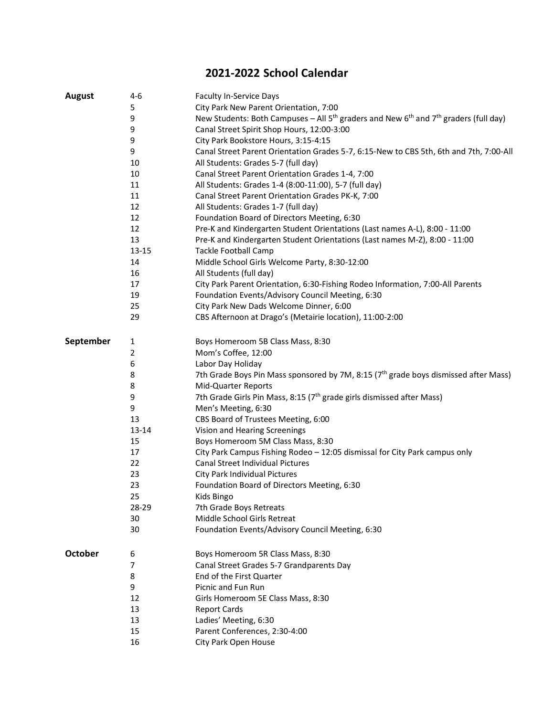## **2021-2022 School Calendar**

| <b>August</b>  | $4-6$        | Faculty In-Service Days                                                                                                  |
|----------------|--------------|--------------------------------------------------------------------------------------------------------------------------|
|                | 5            | City Park New Parent Orientation, 7:00                                                                                   |
|                | 9            | New Students: Both Campuses – All 5 <sup>th</sup> graders and New 6 <sup>th</sup> and 7 <sup>th</sup> graders (full day) |
|                | 9            | Canal Street Spirit Shop Hours, 12:00-3:00                                                                               |
|                | 9            | City Park Bookstore Hours, 3:15-4:15                                                                                     |
|                | 9            | Canal Street Parent Orientation Grades 5-7, 6:15-New to CBS 5th, 6th and 7th, 7:00-All                                   |
|                | 10           | All Students: Grades 5-7 (full day)                                                                                      |
|                | 10           | Canal Street Parent Orientation Grades 1-4, 7:00                                                                         |
|                | 11           | All Students: Grades 1-4 (8:00-11:00), 5-7 (full day)                                                                    |
|                | 11           | Canal Street Parent Orientation Grades PK-K, 7:00                                                                        |
|                | 12           | All Students: Grades 1-7 (full day)                                                                                      |
|                | 12           | Foundation Board of Directors Meeting, 6:30                                                                              |
|                | 12           | Pre-K and Kindergarten Student Orientations (Last names A-L), 8:00 - 11:00                                               |
|                | 13           | Pre-K and Kindergarten Student Orientations (Last names M-Z), 8:00 - 11:00                                               |
|                | $13 - 15$    | <b>Tackle Football Camp</b>                                                                                              |
|                | 14           | Middle School Girls Welcome Party, 8:30-12:00                                                                            |
|                | 16           | All Students (full day)                                                                                                  |
|                | 17           | City Park Parent Orientation, 6:30-Fishing Rodeo Information, 7:00-All Parents                                           |
|                | 19           | Foundation Events/Advisory Council Meeting, 6:30                                                                         |
|                | 25           | City Park New Dads Welcome Dinner, 6:00                                                                                  |
|                | 29           | CBS Afternoon at Drago's (Metairie location), 11:00-2:00                                                                 |
| September      | $\mathbf{1}$ | Boys Homeroom 5B Class Mass, 8:30                                                                                        |
|                | $\mathbf 2$  | Mom's Coffee, 12:00                                                                                                      |
|                | 6            | Labor Day Holiday                                                                                                        |
|                | 8            | 7th Grade Boys Pin Mass sponsored by 7M, 8:15 (7 <sup>th</sup> grade boys dismissed after Mass)                          |
|                | 8            | Mid-Quarter Reports                                                                                                      |
|                | 9            | 7th Grade Girls Pin Mass, 8:15 (7 <sup>th</sup> grade girls dismissed after Mass)                                        |
|                | 9            | Men's Meeting, 6:30                                                                                                      |
|                | 13           | CBS Board of Trustees Meeting, 6:00                                                                                      |
|                | 13-14        | Vision and Hearing Screenings                                                                                            |
|                | 15           | Boys Homeroom 5M Class Mass, 8:30                                                                                        |
|                | 17           | City Park Campus Fishing Rodeo - 12:05 dismissal for City Park campus only                                               |
|                | 22           | <b>Canal Street Individual Pictures</b>                                                                                  |
|                | 23           | City Park Individual Pictures                                                                                            |
|                | 23           | Foundation Board of Directors Meeting, 6:30                                                                              |
|                | 25           | Kids Bingo                                                                                                               |
|                | 28-29        | 7th Grade Boys Retreats                                                                                                  |
|                | 30           | Middle School Girls Retreat                                                                                              |
|                | 30           | Foundation Events/Advisory Council Meeting, 6:30                                                                         |
| <b>October</b> | 6            | Boys Homeroom 5R Class Mass, 8:30                                                                                        |
|                | 7            | Canal Street Grades 5-7 Grandparents Day                                                                                 |
|                | 8            | End of the First Quarter                                                                                                 |
|                | 9            | Picnic and Fun Run                                                                                                       |
|                | 12           | Girls Homeroom 5E Class Mass, 8:30                                                                                       |
|                | 13           | <b>Report Cards</b>                                                                                                      |
|                | 13           | Ladies' Meeting, 6:30                                                                                                    |
|                | 15           | Parent Conferences, 2:30-4:00                                                                                            |
|                | 16           | City Park Open House                                                                                                     |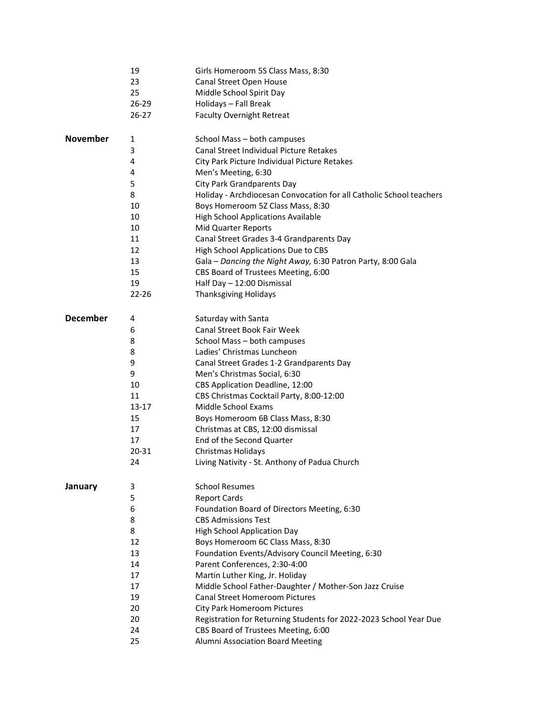|                 | 19        | Girls Homeroom 5S Class Mass, 8:30                                  |
|-----------------|-----------|---------------------------------------------------------------------|
|                 | 23        | Canal Street Open House                                             |
|                 | 25        | Middle School Spirit Day                                            |
|                 | 26-29     | Holidays - Fall Break                                               |
|                 | 26-27     | <b>Faculty Overnight Retreat</b>                                    |
| <b>November</b> | 1         | School Mass - both campuses                                         |
|                 | 3         | <b>Canal Street Individual Picture Retakes</b>                      |
|                 | 4         | City Park Picture Individual Picture Retakes                        |
|                 | 4         | Men's Meeting, 6:30                                                 |
|                 | 5         | City Park Grandparents Day                                          |
|                 | 8         | Holiday - Archdiocesan Convocation for all Catholic School teachers |
|                 | 10        | Boys Homeroom 5Z Class Mass, 8:30                                   |
|                 | 10        | <b>High School Applications Available</b>                           |
|                 | 10        | Mid Quarter Reports                                                 |
|                 | 11        | Canal Street Grades 3-4 Grandparents Day                            |
|                 | 12        | High School Applications Due to CBS                                 |
|                 | 13        | Gala - Dancing the Night Away, 6:30 Patron Party, 8:00 Gala         |
|                 | 15        | CBS Board of Trustees Meeting, 6:00                                 |
|                 | 19        | Half Day - 12:00 Dismissal                                          |
|                 | $22 - 26$ | <b>Thanksgiving Holidays</b>                                        |
| <b>December</b> | 4         | Saturday with Santa                                                 |
|                 | 6         | Canal Street Book Fair Week                                         |
|                 | 8         | School Mass - both campuses                                         |
|                 | 8         | Ladies' Christmas Luncheon                                          |
|                 | 9         | Canal Street Grades 1-2 Grandparents Day                            |
|                 | 9         | Men's Christmas Social, 6:30                                        |
|                 | 10        | CBS Application Deadline, 12:00                                     |
|                 | 11        | CBS Christmas Cocktail Party, 8:00-12:00                            |
|                 | 13-17     | Middle School Exams                                                 |
|                 | 15        | Boys Homeroom 6B Class Mass, 8:30                                   |
|                 | 17        | Christmas at CBS, 12:00 dismissal                                   |
|                 | 17        | End of the Second Quarter                                           |
|                 | 20-31     | Christmas Holidays                                                  |
|                 | 24        | Living Nativity - St. Anthony of Padua Church                       |
| January         | 3         | <b>School Resumes</b>                                               |
|                 | 5         | <b>Report Cards</b>                                                 |
|                 | 6         | Foundation Board of Directors Meeting, 6:30                         |
|                 | 8         | <b>CBS Admissions Test</b>                                          |
|                 | 8         | <b>High School Application Day</b>                                  |
|                 | 12        | Boys Homeroom 6C Class Mass, 8:30                                   |
|                 | 13        | Foundation Events/Advisory Council Meeting, 6:30                    |
|                 | 14        | Parent Conferences, 2:30-4:00                                       |
|                 | 17        | Martin Luther King, Jr. Holiday                                     |
|                 | 17        | Middle School Father-Daughter / Mother-Son Jazz Cruise              |
|                 | 19        | <b>Canal Street Homeroom Pictures</b>                               |
|                 | 20        | <b>City Park Homeroom Pictures</b>                                  |
|                 | 20        | Registration for Returning Students for 2022-2023 School Year Due   |
|                 | 24        | CBS Board of Trustees Meeting, 6:00                                 |
|                 | 25        | Alumni Association Board Meeting                                    |
|                 |           |                                                                     |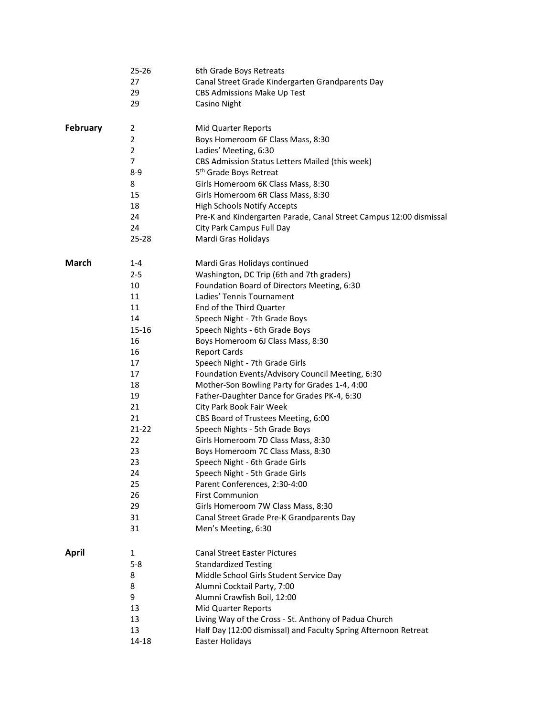|              | $25 - 26$      | 6th Grade Boys Retreats                                            |
|--------------|----------------|--------------------------------------------------------------------|
|              | 27             | Canal Street Grade Kindergarten Grandparents Day                   |
|              | 29             | CBS Admissions Make Up Test                                        |
|              | 29             | <b>Casino Night</b>                                                |
|              |                |                                                                    |
| February     | $\overline{2}$ | Mid Quarter Reports                                                |
|              | 2              | Boys Homeroom 6F Class Mass, 8:30                                  |
|              | $\overline{2}$ | Ladies' Meeting, 6:30                                              |
|              | 7              | CBS Admission Status Letters Mailed (this week)                    |
|              | 8-9            | 5 <sup>th</sup> Grade Boys Retreat                                 |
|              | 8              | Girls Homeroom 6K Class Mass, 8:30                                 |
|              | 15             | Girls Homeroom 6R Class Mass, 8:30                                 |
|              | 18             | <b>High Schools Notify Accepts</b>                                 |
|              | 24             |                                                                    |
|              |                | Pre-K and Kindergarten Parade, Canal Street Campus 12:00 dismissal |
|              | 24             | City Park Campus Full Day                                          |
|              | 25-28          | Mardi Gras Holidays                                                |
| <b>March</b> | $1 - 4$        | Mardi Gras Holidays continued                                      |
|              | $2 - 5$        | Washington, DC Trip (6th and 7th graders)                          |
|              | 10             | Foundation Board of Directors Meeting, 6:30                        |
|              |                |                                                                    |
|              | 11             | Ladies' Tennis Tournament                                          |
|              | 11             | End of the Third Quarter                                           |
|              | 14             | Speech Night - 7th Grade Boys                                      |
|              | 15-16          | Speech Nights - 6th Grade Boys                                     |
|              | 16             | Boys Homeroom 6J Class Mass, 8:30                                  |
|              | 16             | <b>Report Cards</b>                                                |
|              | 17             | Speech Night - 7th Grade Girls                                     |
|              | 17             | Foundation Events/Advisory Council Meeting, 6:30                   |
|              | 18             | Mother-Son Bowling Party for Grades 1-4, 4:00                      |
|              | 19             | Father-Daughter Dance for Grades PK-4, 6:30                        |
|              | 21             | City Park Book Fair Week                                           |
|              | 21             | CBS Board of Trustees Meeting, 6:00                                |
|              | $21 - 22$      | Speech Nights - 5th Grade Boys                                     |
|              | 22             | Girls Homeroom 7D Class Mass, 8:30                                 |
|              | 23             | Boys Homeroom 7C Class Mass, 8:30                                  |
|              | 23             | Speech Night - 6th Grade Girls                                     |
|              | 24             | Speech Night - 5th Grade Girls                                     |
|              | 25             | Parent Conferences, 2:30-4:00                                      |
|              | 26             | <b>First Communion</b>                                             |
|              | 29             | Girls Homeroom 7W Class Mass, 8:30                                 |
|              | 31             | Canal Street Grade Pre-K Grandparents Day                          |
|              | 31             | Men's Meeting, 6:30                                                |
|              |                |                                                                    |
| <b>April</b> | $\mathbf{1}$   | <b>Canal Street Easter Pictures</b>                                |
|              | $5 - 8$        | <b>Standardized Testing</b>                                        |
|              | 8              | Middle School Girls Student Service Day                            |
|              | 8              | Alumni Cocktail Party, 7:00                                        |
|              | 9              | Alumni Crawfish Boil, 12:00                                        |
|              | 13             | Mid Quarter Reports                                                |
|              | 13             | Living Way of the Cross - St. Anthony of Padua Church              |
|              | 13             | Half Day (12:00 dismissal) and Faculty Spring Afternoon Retreat    |
|              | 14-18          | Easter Holidays                                                    |
|              |                |                                                                    |